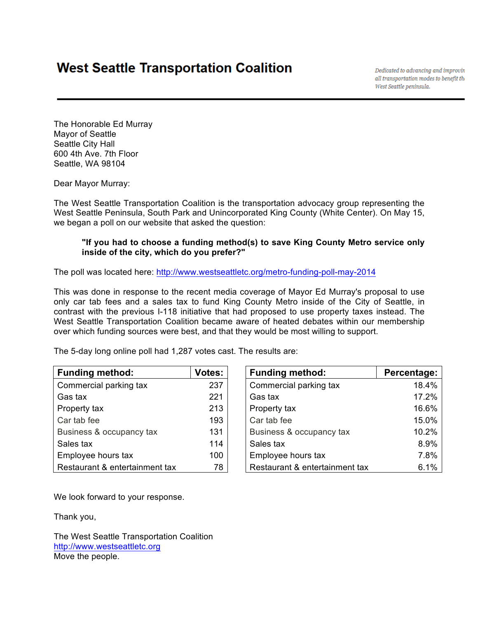## **West Seattle Transportation Coalition**

Dedicated to advancing and improvin all transportation modes to benefit the West Seattle peninsula.

The Honorable Ed Murray Mayor of Seattle Seattle City Hall 600 4th Ave. 7th Floor Seattle, WA 98104

Dear Mayor Murray:

The West Seattle Transportation Coalition is the transportation advocacy group representing the West Seattle Peninsula, South Park and Unincorporated King County (White Center). On May 15, we began a poll on our website that asked the question:

## **"If you had to choose a funding method(s) to save King County Metro service only inside of the city, which do you prefer?"**

The poll was located here: http://www.westseattletc.org/metro-funding-poll-may-2014

This was done in response to the recent media coverage of Mayor Ed Murray's proposal to use only car tab fees and a sales tax to fund King County Metro inside of the City of Seattle, in contrast with the previous I-118 initiative that had proposed to use property taxes instead. The West Seattle Transportation Coalition became aware of heated debates within our membership over which funding sources were best, and that they would be most willing to support.

| <b>Funding method:</b>         | <b>Votes:</b> |
|--------------------------------|---------------|
| Commercial parking tax         | 237           |
| Gas tax                        | 221           |
| Property tax                   | 213           |
| Car tab fee                    | 193           |
| Business & occupancy tax       | 131           |
| Sales tax                      | 114           |
| Employee hours tax             | 100           |
| Restaurant & entertainment tax | 78            |

The 5-day long online poll had 1,287 votes cast. The results are:

| <b>Funding method:</b>         | Votes: | <b>Funding method:</b>         | Percentage: |
|--------------------------------|--------|--------------------------------|-------------|
|                                |        |                                |             |
| Commercial parking tax         | 237    | Commercial parking tax         | 18.4%       |
| Gas tax                        | 221    | Gas tax                        | 17.2%       |
| Property tax                   | 213    | Property tax                   | 16.6%       |
| Car tab fee                    | 193    | Car tab fee                    | 15.0%       |
| Business & occupancy tax       | 131    | Business & occupancy tax       | 10.2%       |
| Sales tax                      | 114    | Sales tax                      | 8.9%        |
| Employee hours tax             | 100    | Employee hours tax             | 7.8%        |
| Restaurant & entertainment tax | 78     | Restaurant & entertainment tax | 6.1%        |

We look forward to your response.

Thank you,

The West Seattle Transportation Coalition http://www.westseattletc.org Move the people.